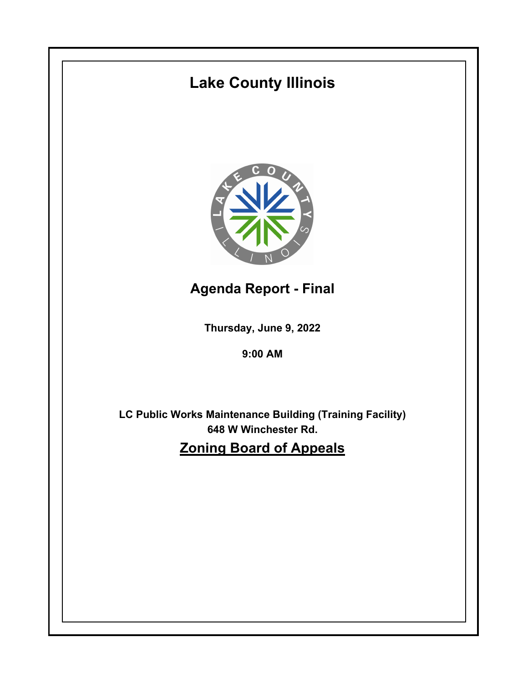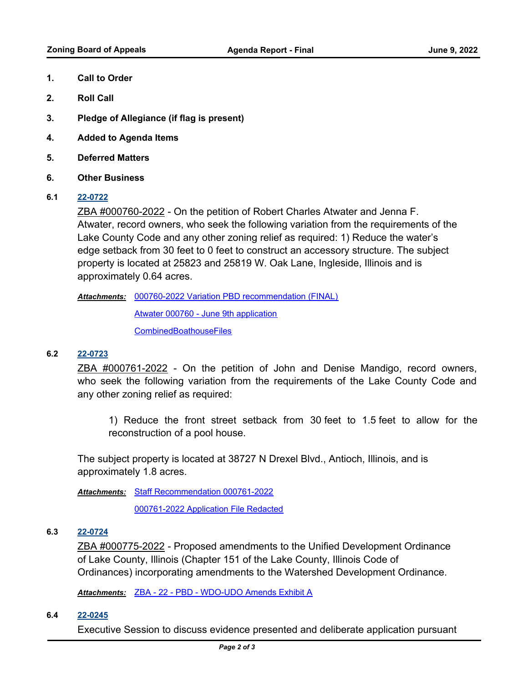- **1. Call to Order**
- **2. Roll Call**
- **3. Pledge of Allegiance (if flag is present)**
- **4. Added to Agenda Items**
- **5. Deferred Matters**
- **6. Other Business**
- **6.1 [22-0722](http://lakecounty.legistar.com/gateway.aspx?m=l&id=/matter.aspx?key=26509)**

ZBA #000760-2022 - On the petition of Robert Charles Atwater and Jenna F. Atwater, record owners, who seek the following variation from the requirements of the Lake County Code and any other zoning relief as required: 1) Reduce the water's edge setback from 30 feet to 0 feet to construct an accessory structure. The subject property is located at 25823 and 25819 W. Oak Lane, Ingleside, Illinois and is approximately 0.64 acres.

[000760-2022 Variation PBD recommendation \(FINAL\)](http://lakecounty.legistar.com/gateway.aspx?M=F&ID=9a66dbcc-a5cf-411a-8a47-9a6fa2fce9aa.pdf) *Attachments:*

[Atwater 000760 - June 9th application](http://lakecounty.legistar.com/gateway.aspx?M=F&ID=144ef398-aa0b-4ac7-831b-d81122ea5853.pdf)

**[CombinedBoathouseFiles](http://lakecounty.legistar.com/gateway.aspx?M=F&ID=8d889041-47b1-444c-9210-94be02d756e8.pdf)** 

## **6.2 [22-0723](http://lakecounty.legistar.com/gateway.aspx?m=l&id=/matter.aspx?key=26510)**

ZBA #000761-2022 - On the petition of John and Denise Mandigo, record owners, who seek the following variation from the requirements of the Lake County Code and any other zoning relief as required:

1) Reduce the front street setback from 30 feet to 1.5 feet to allow for the reconstruction of a pool house.

The subject property is located at 38727 N Drexel Blvd., Antioch, Illinois, and is approximately 1.8 acres.

Attachments: [Staff Recommendation 000761-2022](http://lakecounty.legistar.com/gateway.aspx?M=F&ID=944f11f2-4be6-4ae9-bbce-69b151324bc9.pdf)

[000761-2022 Application File Redacted](http://lakecounty.legistar.com/gateway.aspx?M=F&ID=e1ff47fe-787a-430f-ae8a-4464a7da4f8e.pdf)

## **6.3 [22-0724](http://lakecounty.legistar.com/gateway.aspx?m=l&id=/matter.aspx?key=26511)**

ZBA #000775-2022 - Proposed amendments to the Unified Development Ordinance of Lake County, Illinois (Chapter 151 of the Lake County, Illinois Code of Ordinances) incorporating amendments to the Watershed Development Ordinance.

*Attachments:* [ZBA - 22 - PBD - WDO-UDO Amends Exhibit A](http://lakecounty.legistar.com/gateway.aspx?M=F&ID=b0e595ac-e25d-45c3-89d4-83b66eca0763.pdf)

## **6.4 [22-0245](http://lakecounty.legistar.com/gateway.aspx?m=l&id=/matter.aspx?key=20664)**

Executive Session to discuss evidence presented and deliberate application pursuant